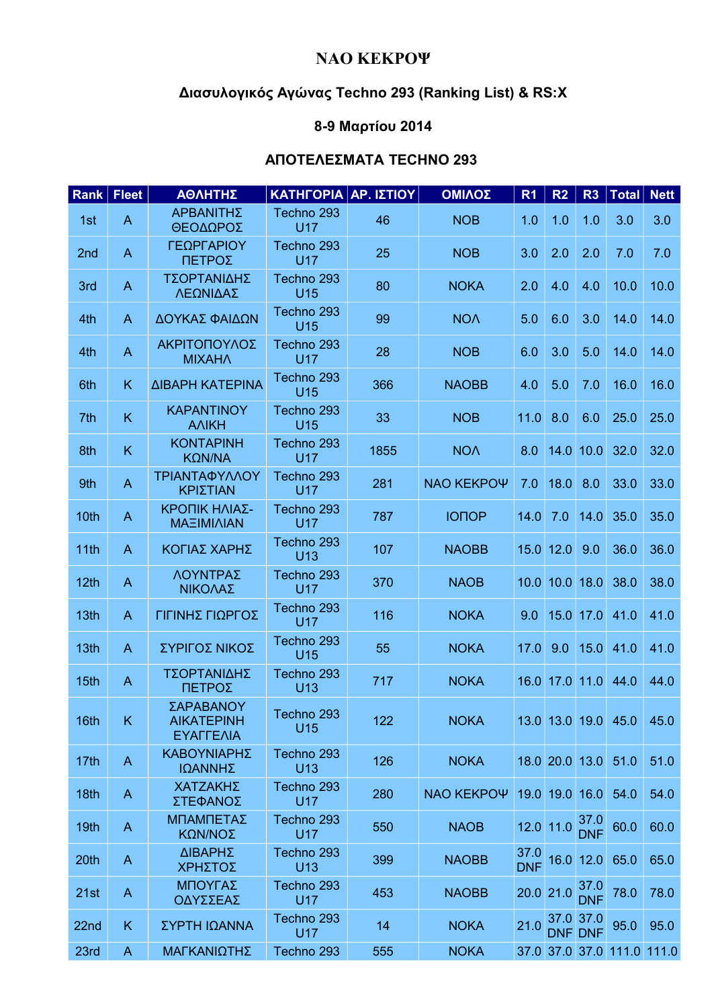## **ΝΑΟ ΚΕΚΡΟΨ**

## **Διασυλογικός Αγώνας Techno 293 (Ranking List) & RS:X**

## **8-9 Mαρτίου 2014**

## **ΑΠΟΤΕΛΕΣΜΑΤΑ TECHNO 293**

| Rank   Fleet |                | ΑΘΛΗΤΗΣ                                     | ΚΑΤΗΓΟΡΙΑ ΑΡ. ΙΣΤΙΟΥ          |      | ΟΜΙΛΟΣ       | R <sub>1</sub>     | R <sub>2</sub> | R <sub>3</sub>              | <b>Total</b>               | <b>Nett</b> |
|--------------|----------------|---------------------------------------------|-------------------------------|------|--------------|--------------------|----------------|-----------------------------|----------------------------|-------------|
| 1st          | A              | ΑΡΒΑΝΙΤΗΣ<br>ΘΕΟΔΩΡΟΣ                       | Techno 293<br><b>U17</b>      | 46   | <b>NOB</b>   | 1.0                | 1.0            | 1.0                         | 3.0                        | 3.0         |
| 2nd          | $\mathsf{A}$   | ΓΕΩΡΓΑΡΙΟΥ<br>ΠΕΤΡΟΣ                        | Techno 293<br><b>U17</b>      | 25   | <b>NOB</b>   | 3.0                | 2.0            | 2.0                         | 7.0                        | 7.0         |
| 3rd          | A              | ΤΣΟΡΤΑΝΙΔΗΣ<br>ΛΕΩΝΙΔΑΣ                     | Techno 293<br>U15             | 80   | <b>NOKA</b>  | 2.0                | 4.0            | 4.0                         | 10.0                       | 10.0        |
| 4th          | $\overline{A}$ | ΔΟΥΚΑΣ ΦΑΙΔΩΝ                               | Techno 293<br>U15             | 99   | <b>NOA</b>   | 5.0                | 6.0            | 3.0                         | 14.0                       | 14.0        |
| 4th          | $\overline{A}$ | ΑΚΡΙΤΟΠΟΥΛΟΣ<br><b>MIXAHA</b>               | Techno 293<br><b>U17</b>      | 28   | <b>NOB</b>   | 6.0                | 3.0            | 5.0                         | 14.0                       | 14.0        |
| 6th          | K              | ΔΙΒΑΡΗ ΚΑΤΕΡΙΝΑ                             | Techno 293<br><b>U15</b>      | 366  | <b>NAOBB</b> | 4.0                | 5.0            | 7.0                         | 16.0                       | 16.0        |
| 7th          | K.             | <b>KAPANTINOY</b><br><b>ANIKH</b>           | Techno 293<br>U15             | 33   | <b>NOB</b>   | 11.0               | 8.0            | 6.0                         | 25.0                       | 25.0        |
| 8th          | K              | <b>KONTAPINH</b><br>KΩN/NA                  | Techno 293<br><b>U17</b>      | 1855 | <b>NOV</b>   | 8.0                |                | $14.0$ 10.0                 | 32.0                       | 32.0        |
| 9th          | $\overline{A}$ | ΤΡΙΑΝΤΑΦΥΛΛΟΥ<br>ΚΡΙΣΤΙΑΝ                   | Techno 293<br><b>U17</b>      | 281  | NAO KEKPOY   | 7.0                | 18.0           | 8.0                         | 33.0                       | 33.0        |
| 10th         | $\overline{A}$ | ΚΡΟΠΙΚ ΗΛΙΑΣ-<br>ΜΑΞΙΜΙΛΙΑΝ                 | Techno 293<br><b>U17</b>      | 787  | <b>IONOP</b> | 14.0               | 7.0            | 14.0                        | 35.0                       | 35.0        |
| 11th         | $\overline{A}$ | ΚΟΓΙΑΣ ΧΑΡΗΣ                                | Techno 293<br>U <sub>13</sub> | 107  | <b>NAOBB</b> |                    | 15.0 12.0      | 9.0                         | 36.0                       | 36.0        |
| 12th         | $\mathsf{A}$   | ΛΟΥΝΤΡΑΣ<br>ΝΙΚΟΛΑΣ                         | Techno 293<br><b>U17</b>      | 370  | <b>NAOB</b>  |                    | 10.0 10.0 18.0 |                             | 38.0                       | 38.0        |
| 13th         | $\overline{A}$ | ΓΙΓΙΝΗΣ ΓΙΩΡΓΟΣ                             | Techno 293<br><b>U17</b>      | 116  | <b>NOKA</b>  | 9.0                |                | 15.0 17.0                   | 41.0                       | 41.0        |
| 13th         | $\mathsf{A}$   | ΣΥΡΙΓΟΣ ΝΙΚΟΣ                               | Techno 293<br><b>U15</b>      | 55   | <b>NOKA</b>  | 17.0               | 9.0            | 15.0                        | 41.0                       | 41.0        |
| 15th         | $\mathsf{A}$   | ΤΣΟΡΤΑΝΙΔΗΣ<br>ΠΕΤΡΟΣ                       | Techno 293<br>U <sub>13</sub> | 717  | <b>NOKA</b>  |                    | 16.0 17.0 11.0 |                             | 44.0                       | 44.0        |
| 16th         | K.             | ΣΑΡΑΒΑΝΟΥ<br><b>AIKATEPINH</b><br>ΕΥΑΓΓΕΛΙΑ | Techno 293<br>U15             | 122  | <b>NOKA</b>  |                    |                |                             | 13.0 13.0 19.0 45.0        | 45.0        |
| 17th         | $\mathsf{A}$   | ΚΑΒΟΥΝΙΑΡΗΣ<br>ΙΩΑΝΝΗΣ                      | Techno 293<br>U13             | 126  | <b>NOKA</b>  |                    | 18.0 20.0 13.0 |                             | 51.0                       | 51.0        |
| 18th         | A              | ΧΑΤΖΑΚΗΣ<br>ΣΤΕΦΑΝΟΣ                        | Techno 293<br><b>U17</b>      | 280  | NAO KEKPOY   |                    | 19.0 19.0 16.0 |                             | 54.0                       | 54.0        |
| 19th         | A              | ΜΠΑΜΠΕΤΑΣ<br>ΚΩΝ/ΝΟΣ                        | Techno 293<br><b>U17</b>      | 550  | <b>NAOB</b>  |                    | 12.0 11.0      | 37.0<br><b>DNF</b>          | 60.0                       | 60.0        |
| 20th         | A              | ΔΙΒΑΡΗΣ<br>ΧΡΗΣΤΟΣ                          | Techno 293<br>U13             | 399  | <b>NAOBB</b> | 37.0<br><b>DNF</b> |                | $16.0$ 12.0                 | 65.0                       | 65.0        |
| 21st         | $\mathsf{A}$   | ΜΠΟΥΓΑΣ<br>ΟΔΥΣΣΕΑΣ                         | Techno 293<br><b>U17</b>      | 453  | <b>NAOBB</b> |                    | $20.0$ 21.0    | 37.0<br><b>DNF</b>          | 78.0                       | 78.0        |
| 22nd         | K              | ΣΥΡΤΗ ΙΩΑΝΝΑ                                | Techno 293<br><b>U17</b>      | 14   | <b>NOKA</b>  | 21.0               |                | 37.0 37.0<br><b>DNF DNF</b> | 95.0                       | 95.0        |
| 23rd         | $\mathsf{A}$   | ΜΑΓΚΑΝΙΩΤΗΣ                                 | Techno 293                    | 555  | <b>NOKA</b>  |                    |                |                             | 37.0 37.0 37.0 111.0 111.0 |             |